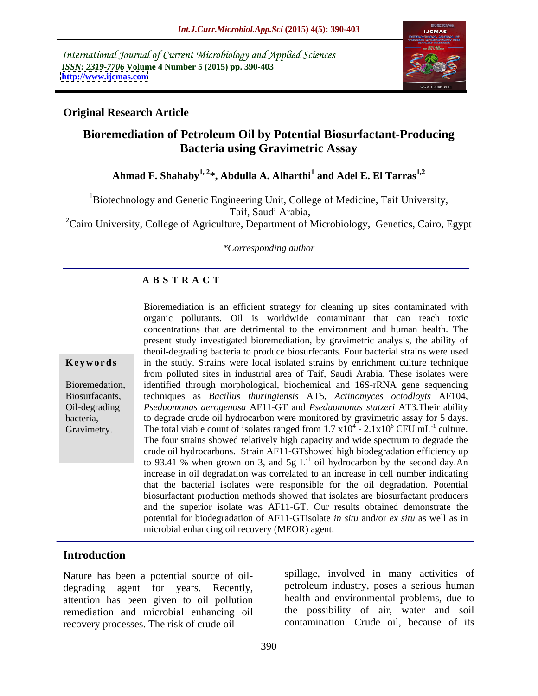International Journal of Current Microbiology and Applied Sciences *ISSN: 2319-7706* **Volume 4 Number 5 (2015) pp. 390-403 <http://www.ijcmas.com>**



### **Original Research Article**

# **Bioremediation of Petroleum Oil by Potential Biosurfactant-Producing Bacteria using Gravimetric Assay**

Ahmad F. Shahaby<sup>1, 2\*</sup>, Abdulla A. Alharthi<sup>1</sup> and Adel E. El Tarras<sup>1,2</sup>  **and Adel E. El Tarras1,2**

<sup>1</sup>Biotechnology and Genetic Engineering Unit, College of Medicine, Taif University, Taif, Saudi Arabia,

<sup>2</sup>Cairo University, College of Agriculture, Department of Microbiology, Genetics, Cairo, Egypt

*\*Corresponding author*

### **A B S T R A C T**

Gravimetry.

Bioremediation is an efficient strategy for cleaning up sites contaminated with organic pollutants. Oil is worldwide contaminant that can reach toxic concentrations that are detrimental to the environment and human health. The present study investigated bioremediation, by gravimetric analysis, the ability of theoil-degrading bacteria to produce biosurfecants. Four bacterial strains were used **Keywords** in the study. Strains were local isolated strains by enrichment culture technique from polluted sites in industrial area of Taif, Saudi Arabia. These isolates were Bioremedation, identified through morphological, biochemical and 16S-rRNA gene sequencing techniques as *Bacillus thuringiensis* AT5, *Actinomyces octodloyts* AF104, Biosurfacants, *Pseduomonas aerogenosa* AF11-GT and *Pseduomonas stutzeri* AT3*.*Their ability Oil-degrading to degrade crude oil hydrocarbon were monitored by gravimetric assay for 5 days. bacteria, The total viable count of isolates ranged from  $1.7 \times 10^4$  -  $2.1 \times 10^6$  CFU mL<sup>-1</sup> culture.  $- 2.1x10^6$  CFU mL<sup>-1</sup> culture.  $^{-1}$  outure culture. The four strains showed relatively high capacity and wide spectrum to degrade the crude oil hydrocarbons. Strain AF11-GTshowed high biodegradation efficiency up to 93.41 % when grown on 3, and 5g  $L^{-1}$  oil hydrocarbon by the second day.An increase in oil degradation was correlated to an increase in cell number indicating that the bacterial isolates were responsible for the oil degradation. Potential biosurfactant production methods showed that isolates are biosurfactant producers and the superior isolate was AF11-GT. Our results obtained demonstrate the potential for biodegradation of AF11-GTisolate *in situ* and/or *ex situ* as well as in microbial enhancing oil recovery (MEOR) agent.

### **Introduction**

Nature has been a potential source of oil degrading agent for years. Recently, attention has been given to oil pollution remediation and microbial enhancing oil recovery processes. The risk of crude oil

spillage, involved in many activities of petroleum industry, poses a serious human health and environmental problems, due to the possibility of air, water and soil contamination. Crude oil, because of its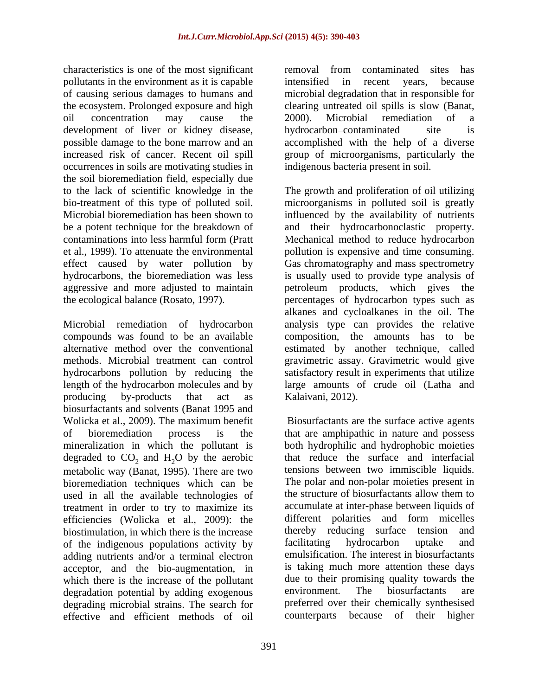characteristics is one of the most significant removal from contaminated sites has pollutants in the environment as it is capable development of liver or kidney disease, hydrocarbon-contaminated site is increased risk of cancer. Recent oil spill occurrences in soils are motivating studies in the soil bioremediation field, especially due effect caused by water pollution by hydrocarbons, the bioremediation was less

Microbial remediation of hydrocarbon analysis type can provides the relative compounds was found to be an available alternative method over the conventional estimated by another technique, called methods. Microbial treatment can control gravimetric assay. Gravimetric would give hydrocarbons pollution by reducing the length of the hydrocarbon molecules and by large amounts of crude oil (Latha and producing by-products that act as Kalaivani, 2012). biosurfactants and solvents (Banat 1995 and Wolicka et al., 2009). The maximum benefit degraded to  $CO_2$  and  $H_2O$  by the aerobic<br>metabolic way (Banat 1995). There are two tensions between two immiscible liquids. metabolic way (Banat, 1995). There are two<br>higher tensions between two immiscible liquids.<br>higher techniques which can be The polar and non-polar moieties present in bioremediation techniques which can be<br>used in all the available technologies of the structure of biosurfactants allow them to used in all the available technologies of treatment in order to try to maximize its efficiencies (Wolicka et al., 2009): the different polarities and form micelles hiostimulation in which there is the increase there by reducing surface tension and biostimulation, in which there is the increase thereby reducing surface tension<br>of the indigenous populations activity by facilitating hydrocarbon uptake of the indigenous populations activity by facilitating hydrocarbon uptake and adding nutrients and/or a terminal electron acceptor, and the bio-augmentation, in which there is the increase of the pollutant due to their promising quality towards the degradation potential by adding exogenous environment. The biosurfactants are degradation potential by adding exogenous degrading microbial strains. The search for effective and efficient methods of oil

of causing serious damages to humans and microbial degradation that in responsible for the ecosystem. Prolonged exposure and high clearing untreated oil spills is slow (Banat, oil concentration may cause the 2000). Microbial remediation of a possible damage to the bone marrow and an accomplished with the help of a diverse removal from contaminated sites has intensified in recent years, because 2000). Microbial remediation of a hydrocarbon-contaminated group of microorganisms, particularly the indigenous bacteria present in soil.

to the lack of scientific knowledge in the The growth and proliferation of oil utilizing bio-treatment of this type of polluted soil. microorganisms in polluted soil is greatly Microbial bioremediation has been shown to influenced by the availability of nutrients be a potent technique for the breakdown of and their hydrocarbonoclastic property. contaminations into less harmful form (Pratt Mechanical method to reduce hydrocarbon et al., 1999). To attenuate the environmental pollution is expensive and time consuming. aggressive and more adjusted to maintain petroleum products, which gives the the ecological balance (Rosato, 1997). percentages of hydrocarbon types such as Gas chromatography and mass spectrometry is usually used to provide type analysis of alkanes and cycloalkanes in the oil. The composition, the amounts has to be satisfactory result in experiments that utilize Kalaivani, 2012).

of bioremediation process is the that are amphipathic in nature and possess mineralization in which the pollutant is both hydrophilic and hydrophobic moieties Biosurfactants are the surface active agents that reduce the surface and interfacial tensions between two immiscible liquids. The polar and non-polar moieties present in the structure of biosurfactants allow them to accumulate at inter-phase between liquids of different polarities and form micelles thereby reducing surface tension facilitating hydrocarbon uptake and emulsification. The interest in biosurfactants is taking much more attention these days due to their promising quality towards the environment. The biosurfactants are preferred over their chemically synthesised counterparts because of their higher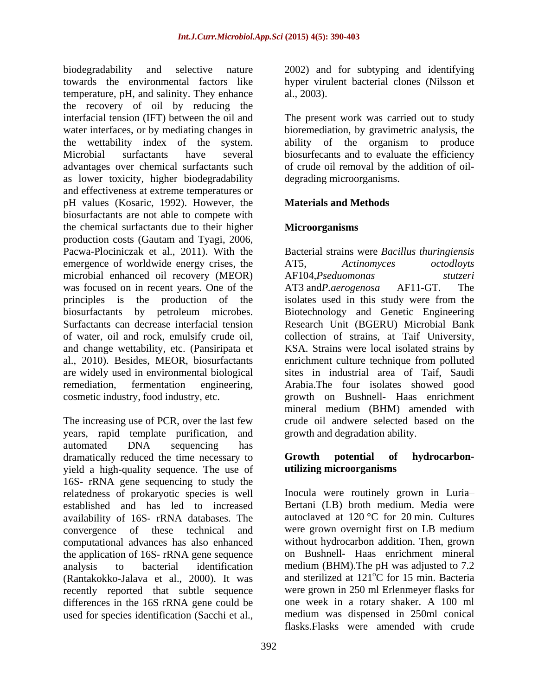biodegradability and selective nature 2002) and for subtyping and identifying towards the environmental factors like hyper virulent bacterial clones (Nilsson et temperature, pH, and salinity. They enhance al., 2003). the recovery of oil by reducing the interfacial tension (IFT) between the oil and The present work was carried out to study water interfaces, or by mediating changes in bioremediation, by gravimetric analysis, the the wettability index of the system. ability of the organism to produce Microbial surfactants have several biosurfecants and to evaluate the efficiency advantages over chemical surfactants such of crude oil removal by the addition of oil as lower toxicity, higher biodegradability and effectiveness at extreme temperatures or pH values (Kosaric, 1992). However, the biosurfactants are not able to compete with the chemical surfactants due to their higher **Microorganisms** production costs (Gautam and Tyagi, 2006, Pacwa-Plociniczak et al., 2011). With the Bacterial strains were *Bacillus thuringiensis* emergence of worldwide energy crises, the AT5, Actinomyces octodlovts microbial enhanced oil recovery (MEOR) AF104, Pseduomonas stutzeri was focused on in recent years. One of the AT3 and *P. aerogenosa* AF11-GT. The principles is the production of the isolates used in this study were from the biosurfactants by petroleum microbes. Biotechnology and Genetic Engineering Surfactants can decrease interfacial tension Research Unit (BGERU) Microbial Bank of water, oil and rock, emulsify crude oil, collection of strains, at Taif University, and change wettability, etc. (Pansiripata et KSA. Strains were local isolated strains by al., 2010). Besides, MEOR, biosurfactants enrichment culture technique from polluted are widely used in environmental biological sites in industrial area of Taif, Saudi remediation, fermentation engineering, Arabia.The four isolates showed good cosmetic industry, food industry, etc. growth on Bushnell- Haas enrichment

The increasing use of PCR, over the last few crude oil andwere selected based on the years, rapid template purification, and automated DNA sequencing has dramatically reduced the time necessary to **Growth** potential of hydrocarbonyield a high-quality sequence. The use of 16S- rRNA gene sequencing to study the relatedness of prokaryotic species is well Inocula were routinely grown in Luria established and has led to increased availability of 16S- rRNA databases. The convergence of these technical and computational advances has also enhanced the application of 16S- rRNA gene sequence analysis to bacterial identification medium (BHM).The pH was adjusted to 7.2 (Rantakokko-Jalava et al., 2000). It was recently reported that subtle sequence were grown in 250 ml Erlenmeyer flasks for differences in the 16S rRNA gene could be used for species identification (Sacchi et al.,

al., 2003).

degrading microorganisms.

# **Materials and Methods**

# **Microorganisms**

AT5, *Actinomyces octodloyts* AF104,Pseduomonas AT3 and*P.aerogenosa* AF11-GT*.* The mineral medium (BHM) amended with growth and degradation ability.

### **Growth potential of hydrocarbon utilizing microorganisms**

Bertani (LB) broth medium. Media were autoclaved at  $120^{\circ}$ C for 20 min. Cultures were grown overnight first on LB medium without hydrocarbon addition. Then, grown on Bushnell- Haas enrichment mineral and sterilized at 121<sup>°</sup>C for 15 min. Bacteria  $\rm{^{\circ}C}$  for 15 min. Bacteria one week in a rotary shaker. A 100 ml medium was dispensed in 250ml conical flasks.Flasks were amended with crude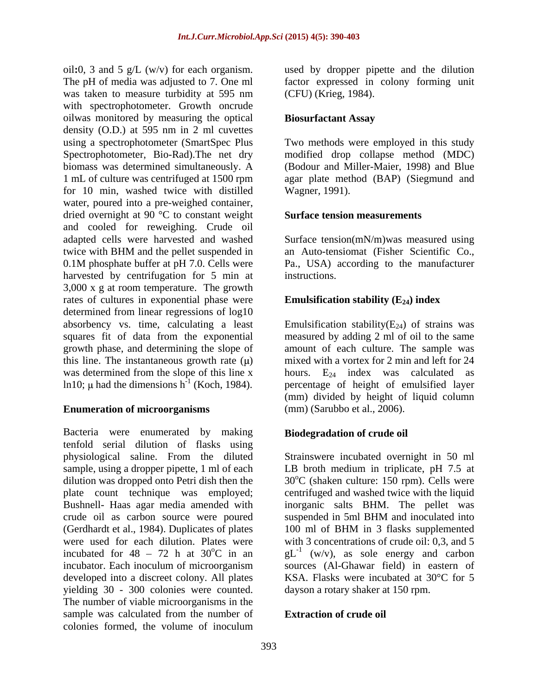oil**:**0, 3 and 5 g/L (w/v) for each organism. used by dropper pipette and the dilution The pH of media was adjusted to 7. One ml factor expressed in colony forming unit was taken to measure turbidity at 595 nm (CFU) (Krieg, 1984). with spectrophotometer. Growth oncrude oilwas monitored by measuring the optical density (O.D.) at 595 nm in 2 ml cuvettes using a spectrophotometer (SmartSpec Plus Two methods were employed in this study Spectrophotometer, Bio-Rad).The net dry modified drop collapse method (MDC) biomass was determined simultaneously. A 1 mL of culture was centrifuged at 1500 rpm agar plate method (BAP) (Siegmund and for 10 min, washed twice with distilled water, poured into a pre-weighed container, dried overnight at 90 °C to constant weight and cooled for reweighing. Crude oil adapted cells were harvested and washed twice with BHM and the pellet suspended in an Auto-tensiomat (Fisher Scientific Co., 0.1M phosphate buffer at pH 7.0. Cells were Pa., USA) according to the manufacturer harvested by centrifugation for 5 min at instructions. 3,000 x g at room temperature. The growth rates of cultures in exponential phase were determined from linear regressions of log10 absorbency vs. time, calculating a least squares fit of data from the exponential measured by adding 2 ml of oil to the same growth phase, and determining the slope of amount of each culture. The sample was this line. The instantaneous growth rate  $(\mu)$ was determined from the slope of this line x hours.  $E_{24}$  index was calculated as ln10;  $\mu$  had the dimensions h<sup>-1</sup> (Koch, 1984).

### **Enumeration of microorganisms**

Bacteria were enumerated by making tenfold serial dilution of flasks using physiological saline. From the diluted Strainswere incubated overnight in 50 ml sample, using a dropper pipette, 1 ml of each LB broth medium in triplicate, pH 7.5 at dilution was dropped onto Petri dish then the  $30^{\circ}$ C (shaken culture: 150 rpm). Cells were plate count technique was employed; centrifuged and washed twice with the liquid Bushnell- Haas agar media amended with inorganic salts BHM. The pellet was crude oil as carbon source were poured suspended in 5ml BHM and inoculated into (Gerdhardt et al., 1984). Duplicates of plates 100 ml of BHM in 3 flasks supplemented were used for each dilution. Plates were with 3 concentrations of crude oil: 0,3, and 5 incubated for 48 – 72 h at 30<sup>o</sup>C in an  $gL^{-1}$  (w/v), as sole energy and carbon incubator. Each inoculum of microorganism sources (Al-Ghawar field) in eastern of developed into a discreet colony. All plates yielding 30 - 300 colonies were counted. The number of viable microorganisms in the sample was calculated from the number of colonies formed, the volume of inoculum

(CFU) (Krieg, 1984).

### **Biosurfactant Assay**

(Bodour and Miller-Maier, 1998) and Blue Wagner, 1991).

### **Surface tension measurements**

Surface tension(mN/m)was measured using an Auto-tensiomat (Fisher Scientific Co., instructions.

# **Emulsification stability (E<sub>24</sub>) index**

 $e^{-1}$  (Koch, 1984). percentage of height of emulsified layer Emulsification stability( $E_{24}$ ) of strains was mixed with a vortex for 2 min and left for 24 (mm) divided by height of liquid column (mm) (Sarubbo et al., 2006).

# **Biodegradation of crude oil**

suspended in 5ml BHM and inoculated into KSA. Flasks were incubated at 30°C for 5 dayson a rotary shaker at 150 rpm.

# **Extraction of crude oil**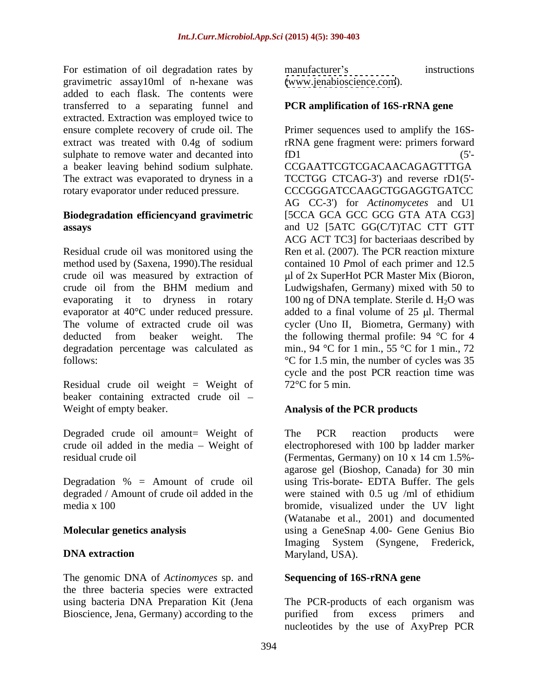For estimation of oil degradation rates by manufacturer's instructions gravimetric assay10ml of n-hexane was added to each flask. The contents were transferred to a separating funnel and extracted. Extraction was employed twice to sulphate to remove water and decanted into fD1 (5'a beaker leaving behind sodium sulphate. The extract was evaporated to dryness in a

# **Biodegradation efficiencyand gravimetric**

Residual crude oil weight = Weight of  $72^{\circ}$ C for 5 min. beaker containing extracted crude oil Weight of empty beaker. **Analysis of the PCR products**

Degraded crude oil amount= Weight of The PCR reaction products were

degraded / Amount of crude oil added in the were stained with 0.5 ug /ml of ethidium

The genomic DNA of *Actinomyces* sp. and the three bacteria species were extracted using bacteria DNA Preparation Kit (Jena The PCR-products of each organism was Bioscience, Jena, Germany) according to the purified from excess primers and

manufacturer's instructions [\(www.jenabioscience.com](http://www.jenabioscience.com)).

### **PCR amplification of 16S-rRNA gene**

ensure complete recovery of crude oil. The Primer sequences used to amplify the 16Sextract was treated with 0.4g of sodium rRNA gene fragment were: primers forward rotary evaporator under reduced pressure. CCCGGGATCCAAGCTGGAGGTGATCC **assays**  and U2 [5ATC GG(C/T)TAC CTT GTT Residual crude oil was monitored using the Ren et al. (2007). The PCR reaction mixture method used by (Saxena, 1990). The residual contained 10 *Pmol* of each primer and 12.5 crude oil was measured by extraction of  $\mu$ l of 2x SuperHot PCR Master Mix (Bioron, crude oil from the BHM medium and evaporating it to dryness in rotary  $100$  ng of DNA template. Sterile d.  $H_2O$  was evaporator at  $40^{\circ}$ C under reduced pressure. added to a final volume of  $25$  µl. Thermal The volume of extracted crude oil was cycler (Uno II, Biometra, Germany) with deducted from beaker weight. The the following thermal profile: 94 °C for 4 degradation percentage was calculated as min., 94 °C for 1 min., 55 °C for 1 min., 72 follows:  $\degree$ C for 1.5 min, the number of cycles was 35 fD1  $(5'-$ CCGAATTCGTCGACAACAGAGTTTGA TCCTGG CTCAG-3') and reverse rD1(5'- AG CC-3') for *Actinomycetes* and U1 [5CCA GCA GCC GCG GTA ATA CG3] ACG ACT TC3] for bacteriaas described by Ludwigshafen, Germany) mixed with 50 to cycle and the post PCR reaction time was  $72^{\circ}$ C for 5 min.

crude oil added in the media – Weight of electrophoresed with 100 bp ladder marker residual crude oil (Fermentas, Germany) on 10 x 14 cm 1.5%- Degradation % = Amount of crude oil using Tris-borate- EDTA Buffer. The gels media x 100 bromide, visualized under the UV light **Molecular genetics analysis**  using a GeneSnap 4.00- Gene Genius Bio **DNA extraction** Maryland, USA). The PCR reaction products were agarose gel (Bioshop, Canada) for 30 min were stained with 0.5 ug /ml of ethidium (Watanabe et al., 2001) and documented Imaging System (Syngene, Frederick, Maryland, USA).

### **Sequencing of 16S-rRNA gene**

The PCR-products of each organism was purified from excess primers and nucleotides by the use of AxyPrep PCR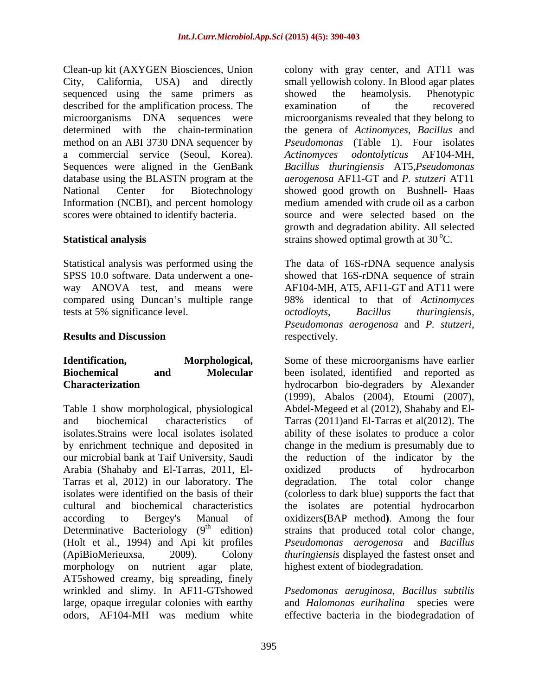sequenced using the same primers as showed the heamolysis. Phenotypic described for the amplification process. The examination of the recovered a commercial service (Seoul, Korea). Actinomyces odontolyticus AF104-MH, Information (NCBI), and percent homology

tests at 5% significance level.  $\qquad \qquad occodlovts, \qquad \qquad Bacillus \qquad thuringiensis,$ 

our microbial bank at Taif University, Saudi Arabia (Shahaby and El-Tarras, 2011, El- Tarras et al, 2012) in our laboratory. **T**he Determinative Bacteriology  $(9<sup>th</sup>$  edition) (Holt et al., 1994) and Api kit profiles morphology on nutrient agar plate, highest extent of biodegradation. AT5showed creamy, big spreading, finely wrinkled and slimy. In AF11-GTshowed *Psedomonas aeruginosa*, *Bacillus subtilis* large, opaque irregular colonies with earthy and *Halomonas eurihalina* species were odors, AF104-MH was medium white effective bacteria in the biodegradation of

Clean-up kit (AXYGEN Biosciences, Union colony with gray center, and AT11 was City, California, USA) and directly small yellowish colony. In Blood agar plates microorganisms DNA sequences were microorganisms revealed that they belong to determined with the chain-termination the genera of *Actinomyces, Bacillus* and method on an ABI 3730 DNA sequencer by *Pseudomonas* (Table 1). Four isolates Sequences were aligned in the GenBank *Bacillus thuringiensis* AT5,*Pseudomonas*  database using the BLASTN program at the *aerogenosa* AF11-GT and *P. stutzeri* AT11 National Center for Biotechnology showed good growth on Bushnell- Haas scores were obtained to identify bacteria. source and were selected based on the **Statistical analysis** extrains showed optimal growth at 30 °C. showed the heamolysis. Phenotypic examination of the recovered *Actinomyces odontolyticus* AF104-MH, medium amended with crude oil as a carbon growth and degradation ability. All selected

Statistical analysis was performed using the The data of 16S-rDNA sequence analysis SPSS 10.0 software. Data underwent a one- showed that 16S-rDNA sequence of strain way ANOVA test, and means were AF104-MH, AT5, AF11-GT and AT11 were compared using Duncan's multiple range 98% identical to that of *Actinomyces* **Results and Discussion** respectively. *octodloyts*, *Bacillus thuringiensis*, *Pseudomonas aerogenosa* and *P. stutzeri*, respectively.

**Identification, Morphological,** Some of these microorganisms have earlier **Biochemical and Molecular** been isolated, identified and reported as **Characterization**  hydrocarbon bio-degraders by Alexander Table 1 show morphological, physiological Abdel-Megeed et al (2012), Shahaby and El and biochemical characteristics of Tarras (2011)and El-Tarras et al(2012). The isolates.Strains were local isolates isolated ability of these isolates to produce a color by enrichment technique and deposited in change in the medium is presumably due to isolates were identified on the basis of their (colorless to dark blue) supports thefact that cultural and biochemical characteristics the isolates are potential hydrocarbon according to Bergey's Manual of oxidizers**(**BAP method**)**. Among the four <sup>th</sup> edition) strains that produced total color change, (ApiBioMerieuxsa, 2009). Colony *thuringiensis* displayed the fastest onset and (1999), Abalos (2004), Etoumi (2007), the reduction of the indicator by the oxidized products of hydrocarbon The total color change *Pseudomonas aerogenosa* and *Bacillus*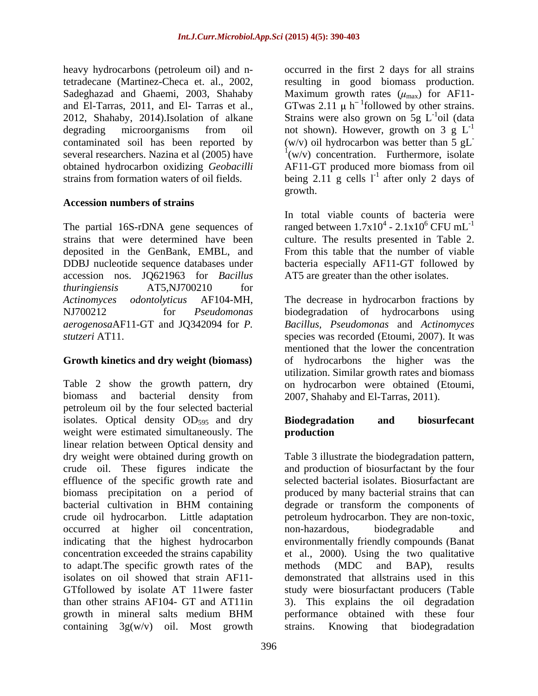obtained hydrocarbon oxidizing *Geobacilli*

### **Accession numbers of strains**

The partial 16S-rDNA gene sequences of accession nos. JQ621963 for *Bacillus thuringiensis* AT5,NJ700210 for

### **Growth kinetics and dry weight (biomass)**

Table 2 show the growth pattern, dry on hydrocarbon were obtained (Etoumi, biomass and bacterial density from 2007, Shahaby and El-Tarras, 2011). petroleum oil by the four selected bacterial isolates. Optical density  $OD_{595}$  and dry **Biodegradation** and biosurfecant weight were estimated simultaneously. The **production** linear relation between Optical density and dry weight were obtained during growth on Table 3 illustrate the biodegradation pattern, crude oil. These figures indicate the and production of biosurfactant by the four effluence of the specific growth rate and biomass precipitation on a period of bacterial cultivation in BHM containing crude oil hydrocarbon. Little adaptation petroleum hydrocarbon. They are non-toxic, occurred at higher oil concentration, indicating that the highest hydrocarbon environmentally friendly compounds (Banat concentration exceeded the strains capability et al., 2000). Using the two qualitative to adapt. The specific growth rates of the methods (MDC and BAP), results isolates on oil showed that strain AF11- GTfollowed by isolate AT 11were faster study were biosurfactant producers (Table than other strains AF104- GT and AT11in 3). This explains the oil degradation growth in mineral salts medium BHM containing  $3g(w/v)$  oil. Most growth strains. Knowing that biodegradation

heavy hydrocarbons (petroleum oil) and n-occurred in the first 2 days for all strains tetradecane (Martinez-Checa et. al., 2002, resulting in good biomass production. Sadeghazad and Ghaemi, 2003, Shahaby Maximum growth rates  $(\mu_{max})$  for AF11and El-Tarras, 2011, and El- Tarras et al., GTwas 2.11  $\mu$  h<sup>-1</sup>followed by other strains. 2012, Shahaby, 2014).Isolation of alkane Strains were also grown on 5g  $L^{-1}$ oil (data degrading microorganisms from oil not shown). However, growth on 3  $g L^{-1}$ contaminated soil has been reported by (w/v) oil hydrocarbon was better than 5 gL several researchers. Nazina et al (2005) have  $\frac{1}{w/v}$  concentration. Furthermore, isolate strains from formation waters of oil fields. being  $2.11$  g cells  $1<sup>-1</sup>$  after only 2 days of  $^{-1}$ oil (doto) oil (data -1 **-** Construction of the construction AF11-GT produced more biomass from oil after only 2 days of growth. The contract of the contract of the contract of the contract of the contract of the contract of the contract of the contract of the contract of the contract of the contract of the contract of the contract of the co

strains that were determined have been culture. The results presented in Table 2. deposited in the GenBank, EMBL, and From this table that the number of viable DDBJ nucleotide sequence databases under bacteria especially AF11-GT followed by In total viable counts of bacteria were ranged between  $1.7x10^4 - 2.1x10^6$  CFU mL<sup>-1</sup>  $- 2.1x10<sup>6</sup>$  CFU mL<sup>-1</sup>  $CFU$  m $L^{-1}$ AT5 are greater than the other isolates.

*Actinomyces odontolyticus* AF104-MH, The decrease in hydrocarbon fractions by NJ700212 for *Pseudomonas*  biodegradation of hydrocarbons using *aerogenosa*AF11-GT and JQ342094 for *P. Bacillus, Pseudomonas* and *Actinomyces stutzeri* AT11. Species was recorded (Etoumi, 2007). It was mentioned that the lower the concentration of hydrocarbons the higher was the utilization. Similar growth rates and biomass

### **Biodegradation and biosurfecant production**

selected bacterial isolates. Biosurfactant are produced by many bacterial strains that can degrade or transform the components of non-hazardous, biodegradable and methods (MDC and BAP), results demonstrated that allstrains used in this performance obtained with these four strains. Knowing that biodegradation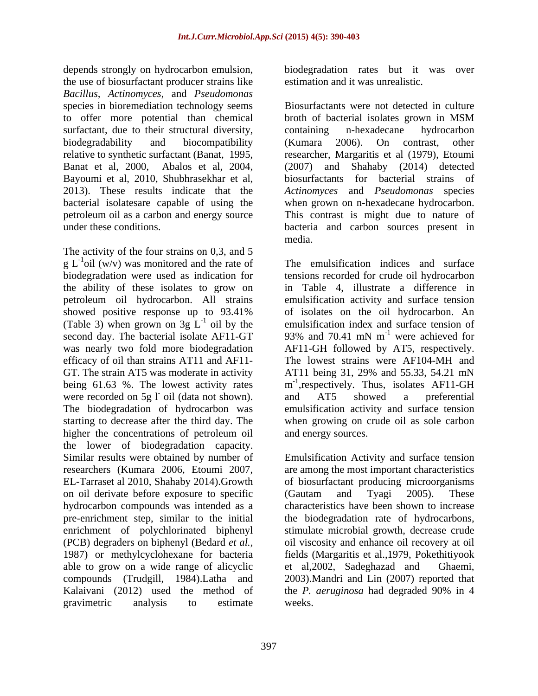depends strongly on hydrocarbon emulsion, biodegradation rates but it was over the use of biosurfactant producer strains like *Bacillus, Actinomyces*, and *Pseudomonas* species in bioremediation technology seems surfactant, due to their structural diversity, containing n-hexadecane hydrocarbon Bayoumi et al, 2010, Shubhrasekhar et al,

The activity of the four strains on 0,3, and 5 g L<sup>-1</sup>oil (w/v) was monitored and the rate of The emulsification indices and surface (Table 3) when grown on 3g L<sup>-1</sup> oil by the emulsification index and surface tension of second day. The bacterial isolate AF11-GT 93% and 70.41 mN m<sup>-1</sup> were achieved for second day. The bacterial isolate AF11-GT GT. The strain AT5 was moderate in activity AT11 being 31, 29% and 55.33, 54.21 mN being 61.63 %. The lowest activity rates were recorded on 5g l oil (data not shown). and AT5 showed a preferential The biodegradation of hydrocarbon was higher the concentrations of petroleum oil the lower of biodegradation capacity. EL-Tarraset al 2010, Shahaby 2014).Growth on oil derivate before exposure to specific (Gautam and Tyagi 2005). These hydrocarbon compounds was intended as a (PCB) degraders on biphenyl (Bedard *et al.,* 1987) or methylcyclohexane for bacteria able to grow on a wide range of alicyclic et al, 2002, Sadeghazad and Ghaemi, compounds (Trudgill, 1984).Latha and Kalaivani (2012) used the method of the *P. aeruginosa* had degraded 90% in 4 gravimetric analysis to estimate weeks.

estimation and it was unrealistic.

to offer more potential than chemical broth of bacterial isolates grown in MSM biodegradability and biocompatibility (Kumara 2006). On contrast, other relative to synthetic surfactant (Banat, 1995, researcher, Margaritis et al (1979), Etoumi Banat et al, 2000, Abalos et al, 2004, (2007) and Shahaby (2014) detected 2013). These results indicate that the *Actinomyces* and *Pseudomonas* species bacterial isolatesare capable of using the when grown on n-hexadecane hydrocarbon. petroleum oil as a carbon and energy source This contrast is might due to nature of under these conditions. bacteria and carbon sources present in Biosurfactants were not detected in culture containing n-hexadecane hydrocarbon (Kumara 2006). On contrast, other biosurfactants for bacterial strains of media.

oil (w/v) was monitored and the rate of The emulsification indices and surface biodegradation were used as indication for tensions recorded for crude oil hydrocarbon the ability of these isolates to grow on in Table 4, illustrate a difference in petroleum oil hydrocarbon. All strains emulsification activity and surface tension showed positive response up to 93.41% of isolates on the oil hydrocarbon. An <sup>-1</sup> oil by the emulsification index and surface tension of was nearly two fold more biodegradation AF11-GH followed by AT5, respectively. efficacy of oil than strains AT11 and AF11- The lowest strains were AF104-MH and starting to decrease after the third day. The when growing on crude oil as sole carbon of isolates on the oil hydrocarbon. An 93% and 70.41 mN  $m^{-1}$  were achieved for  $^{-1}$  were echieved for were achieved for AT11 being 31, 29% and 55.33, 54.21 mN m<sup>-1</sup>, respectively. Thus, isolates AF11-GH and AT5 showed a preferential emulsification activity and surface tension and energy sources.

Similar results were obtained by number of Emulsification Activity and surface tension researchers (Kumara 2006, Etoumi 2007, are among the most important characteristics pre-enrichment step, similar to the initial the biodegradation rate of hydrocarbons, enrichment of polychlorinated biphenyl stimulate microbial growth, decrease crude of biosurfactant producing microorganisms (Gautam and Tyagi 2005). These characteristics have been shown to increase oil viscosity and enhance oil recovery at oil fields (Margaritis et al.,1979, Pokethitiyook et al, 2002, Sadeghazad and 2003).Mandri and Lin (2007) reported that the *P. aeruginosa* had degraded 90% in 4 weeks.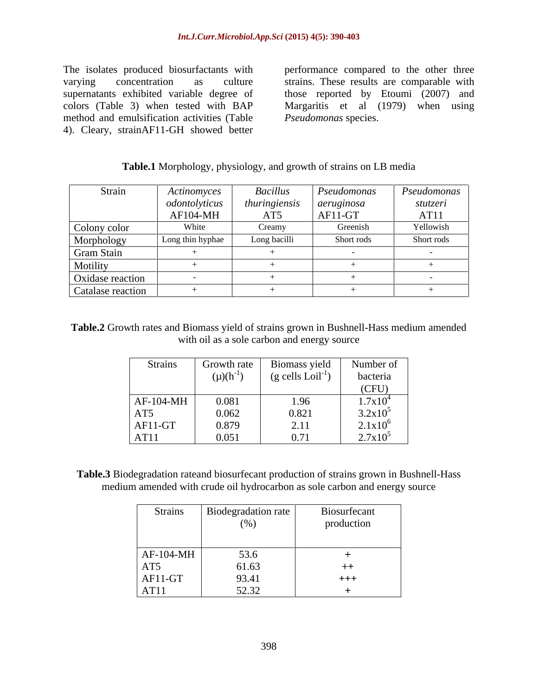method and emulsification activities (Table 4). Cleary, strainAF11-GH showed better

The isolates produced biosurfactants with performance compared to the other three varying concentration as culture strains. These results are comparable with supernatants exhibited variable degree of those reported by Etoumi (2007) and colors (Table 3) when tested with BAP Margaritis et al (1979) when using *Pseudomonas* species.

### **Table.1** Morphology, physiology, and growth of strains on LB media

| <b>Strain</b>     | Actinomyces      | <b>Bacillus</b> | Pseudomonas | Pseudomonas |
|-------------------|------------------|-----------------|-------------|-------------|
|                   | odontolyticus    | thuringiensis   | aeruginosa  | stutzeri    |
|                   | AF104-MH         | AT5             | AF11-GT     | AT11        |
| Colony color      | White            | Creamy          | Greenish    | Yellowish   |
| Morphology        | Long thin hyphae | Long bacilli    | Short rods  | Short rods  |
| Gram Stain        |                  |                 |             |             |
| Motility          |                  |                 |             |             |
| Oxidase reaction  |                  |                 |             |             |
| Catalase reaction |                  |                 |             |             |

### **Table.2** Growth rates and Biomass yield of strains grown in Bushnell-Hass medium amended with oil as a sole carbon and energy source

| <b>Strains</b>         | Growth rate                                   | Biomass yield                                                | Number of                                                                              |
|------------------------|-----------------------------------------------|--------------------------------------------------------------|----------------------------------------------------------------------------------------|
|                        | $(\mu)(h^{-1})$                               | $(g$ cells $Loil^{-1}$ )                                     | bacteria                                                                               |
|                        |                                               |                                                              | (CFU)                                                                                  |
| $AF-104-MH$            | 0.081                                         |                                                              |                                                                                        |
|                        |                                               |                                                              |                                                                                        |
|                        | $\begin{array}{c} 0.062 \\ 0.879 \end{array}$ |                                                              |                                                                                        |
| AT5<br>AF11-GT<br>AT11 | 0.051                                         | $\begin{array}{r} 1.96 \\ 0.821 \\ 2.11 \\ 0.71 \end{array}$ | $\frac{1.7 \times 10^4}{3.2 \times 10^5}$<br>$\frac{2.1 \times 10^6}{2.7 \times 10^5}$ |

**Table.3** Biodegradation rateand biosurfecant production of strains grown in Bushnell-Hass medium amended with crude oil hydrocarbon as sole carbon and energy source

| Strains                                                                                                                            | Biodegradation rate                     | Biosurfecant |
|------------------------------------------------------------------------------------------------------------------------------------|-----------------------------------------|--------------|
|                                                                                                                                    | $(\%)$                                  | production   |
|                                                                                                                                    |                                         |              |
| $\begin{array}{ l } \hline \text{AF-104-MH} \\\hline \text{AT5} \\\hline \text{AF11-GT} \\\hline \text{AT11} \\\hline \end{array}$ | $53.6$<br>$61.63$<br>$93.41$<br>$52.32$ | $++$         |
|                                                                                                                                    |                                         | $+++$        |
|                                                                                                                                    |                                         |              |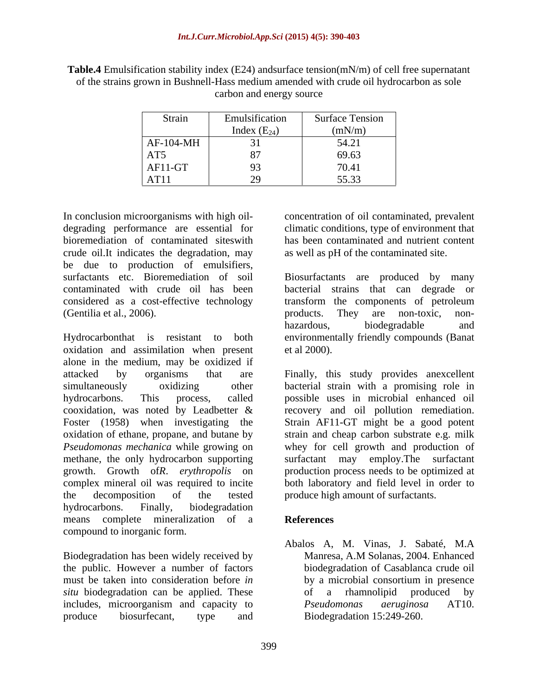**Table.4** Emulsification stability index (E24) andsurface tension(mN/m) of cell free supernatant of the strains grown in Bushnell-Hass medium amended with crude oil hydrocarbon as sole carbon and energy source

| Strain    | Emulsification                 | $\sim$<br><b>Surface Tension</b> |
|-----------|--------------------------------|----------------------------------|
|           | $\sqrt{1}$<br>Index $(E_{24})$ | (mN/m)                           |
| AF-104-MH | $\overline{ }$                 | 54.21                            |
| AT5       | $\sim$<br>$\sim$ $\cdot$       | 69.63                            |
| $AF11-GT$ | 93                             | 70.41                            |
| AT11      |                                | 55.33                            |

In conclusion microorganisms with high oil- concentration of oil contaminated, prevalent degrading performance are essential for climatic conditions, type of environment that bioremediation of contaminated siteswith has been contaminated and nutrient content crude oil.It indicates the degradation, may be due to production of emulsifiers, surfactants etc. Bioremediation of soil Biosurfactants are produced by many contaminated with crude oil has been bacterial strains that can degrade or considered as a cost-effective technology (Gentilia et al., 2006). products. They are non-toxic, non-

Hydrocarbonthat is resistant to both environmentally friendly compounds (Banat oxidation and assimilation when present alone in the medium, may be oxidized if attacked by organisms that are Finally, this study provides anexcellent simultaneously oxidizing other bacterial strain with a promising role in hydrocarbons. This process, called possible uses in microbial enhanced oil cooxidation, was noted by Leadbetter & recovery and oil pollution remediation. Foster (1958) when investigating the Strain AF11-GT might be a good potent oxidation of ethane, propane, and butane by *Pseudomonas mechanica* while growing on whey for cell growth and production of methane, the only hydrocarbon supporting surfactant may employ. The surfactant growth. Growth of*R*. *erythropolis* on production process needs to be optimized at complex mineral oil was required to incite both laboratory and field level in order to the decomposition of the tested produce high amount of surfactants. hydrocarbons. Finally, biodegradation means complete mineralization of a compound to inorganic form.

Biodegradation has been widely received by the public. However a number of factors *situ* biodegradation can be applied. These of a rhamnolipid produced by includes, microorganism and capacity to *Pseudomonas aeruginosa* AT10.

as well as pH of the contaminated site.

transform the components of petroleum products. They are non-toxic, non hazardous, biodegradable and et al 2000).

strain and cheap carbon substrate e.g. milk surfactant may employ. The

# **References**

must be taken into consideration before *in*  by a microbial consortium in presence produce biosurfecant, type and Biodegradation 15:249-260. Abalos A, M. Vinas, J. Sabaté, M.A Manresa, A.M Solanas, 2004. Enhanced biodegradation of Casablanca crude oil of a rhamnolipid produced by *Pseudomonas aeruginosa* AT10. Biodegradation 15:249-260.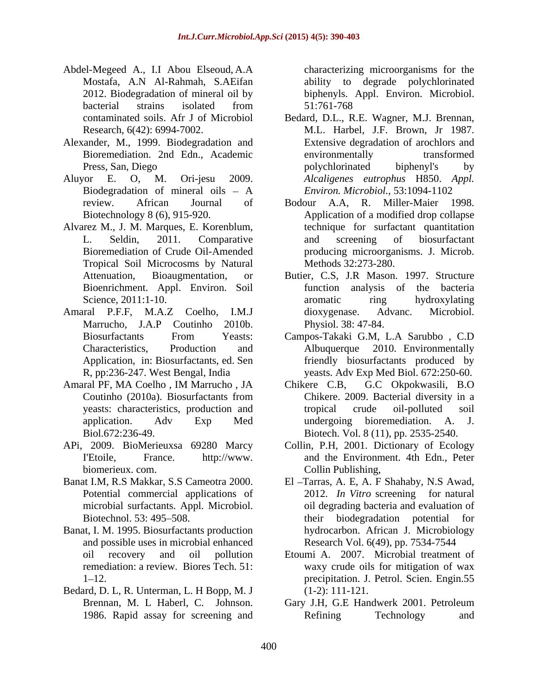- Abdel-Megeed A., I.I Abou Elseoud, A.A Mostafa, A.N Al-Rahmah, S.AEifan ability to degrade polychlorinated 2012. Biodegradation of mineral oil by biphenyls. Appl. Environ. Microbiol. bacterial strains isolated from 51:761-768
- Alexander, M., 1999. Biodegradation and
- 
- Alvarez M., J. M. Marques, E. Korenblum, Tropical Soil Microcosms by Natural Bioenrichment. Appl. Environ. Soil
- Amaral P.F.F, M.A.Z Coelho, I.M.J dioxygenase. Advanc. Microbiol.
- 
- APi, 2009. BioMerieuxsa 69280 Marcy
- 
- Banat, I. M. 1995. Biosurfactants production and possible uses in microbial enhanced
- Bedard, D. L, R. Unterman, L. H Bopp, M. J

characterizing microorganisms for the 51:761-768

- contaminated soils. Afr J of Microbiol Bedard, D.L., R.E. Wagner, M.J. Brennan, Research, 6(42): 6994-7002. M.L. Harbel, J.F. Brown, Jr 1987. Bioremediation. 2nd Edn., Academic Press, San, Diego by polychlorinated biphenyl's by Aluyor E. O, M. Ori-jesu 2009. *Alcaligenes eutrophus* H850. *Appl.*  Biodegradation of mineral oils - A Environ. Microbiol., 53:1094-1102 Extensive degradation of arochlors and environmentally transformed polychlorinated biphenyl's by *Environ. Microbiol.,* 53:1094-1102
	- review. African Journal of Bodour A.A, R. Miller-Maier 1998. Biotechnology 8 (6), 915-920. Application of a modified drop collapse L. Seldin, 2011. Comparative and screening of biosurfactant Bioremediation of Crude Oil-Amended producing microorganisms. J. Microb. technique for surfactant quantitation and screening of biosurfactant Methods 32:273-280.
	- Attenuation, Bioaugmentation, or Butier, C.S, J.R Mason. 1997. Structure Science, 2011:1-10. aromatic ring hydroxylating Marrucho, J.A.P Coutinho 2010b. function analysis of the bacteria aromatic ring hydroxylating dioxygenase. Advanc. Microbiol. Physiol. 38: 47-84.
	- Biosurfactants From Yeasts: Campos-Takaki G.M, L.A Sarubbo , C.D Characteristics, Production and Albuquerque 2010. Environmentally Application, in: Biosurfactants, ed. Sen friendly biosurfactants produced by R, pp:236-247. West Bengal, India yeasts. Adv Exp Med Biol. 672:250-60.
- Amaral PF, MA Coelho , IM Marrucho , JA Coutinho (2010a). Biosurfactants from Chikere. 2009. Bacterial diversity in a yeasts: characteristics, production and tropical crude oil-polluted soil application. Adv Exp Med undergoing bioremediation. A. J. Biol.672:236-49. Biotech. Vol. 8 (11), pp. 2535-2540. Chikere C.B, G.C Okpokwasili, B.O Chikere. 2009. Bacterial diversity in a tropical crude oil-polluted soil undergoing bioremediation. A. J.
	- I'Etoile, France. http://www. and the Environment. 4th Edn., Peter biomerieux. com. Collin Publishing, Collin, P.H, 2001. Dictionary of Ecology
- Banat I.M, R.S Makkar, S.S Cameotra 2000. El Tarras, A. E, A. F Shahaby, N.S Awad, Potential commercial applications of 2012. *In Vitro* screening for natural microbial surfactants. Appl. Microbiol.  $\qquad \qquad$  oil degrading bacteria and evaluation of Biotechnol. 53: 495–508. Their biodegradation potential for hydrocarbon. African J. Microbiology Research Vol. 6(49), pp. 7534-7544
	- oil recovery and oil pollution Etoumi A. 2007. Microbial treatment of remediation: a review. Biores Tech. 51: waxy crude oils for mitigation of wax 1 12. precipitation. J. Petrol. Scien. Engin.55 (1-2): 111-121.
	- Brennan, M. L Haberl, C. Johnson. Gary J.H, G.E Handwerk 2001. Petroleum 1986. Rapid assay for screening and Refining Technology and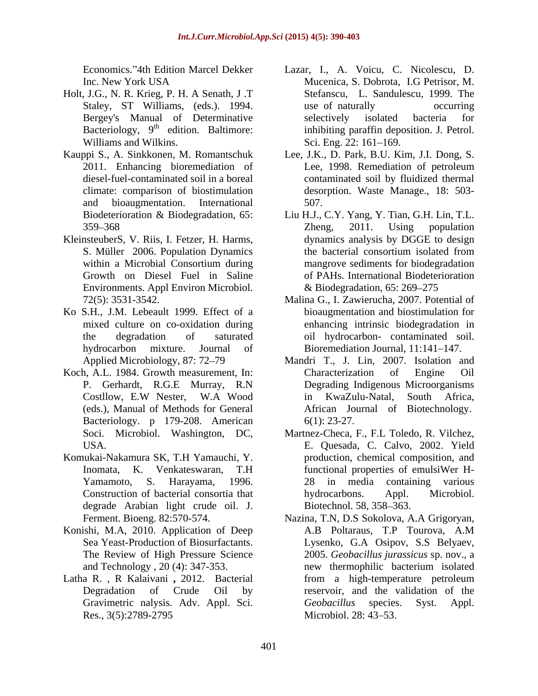- Holt, J.G., N. R. Krieg, P. H. A Senath, J .T Williams and Wilkins. Sci. Eng. 22: 161–169.
- and bioaugmentation. International
- Environments. Appl Environ Microbiol.
- Ko S.H., J.M. Lebeault 1999. Effect of a
- Koch, A.L. 1984. Growth measurement, In: P. Gerhardt, R.G.E Murray, R.N Degrading Indigenous<br>Costllow, E.W Nester, W.A Wood in KwaZulu-Natal. (eds.), Manual of Methods for General Bacteriology. p 179-208. American 6(1): 23-27.
- degrade Arabian light crude oil. J.
- Konishi, M.A, 2010. Application of Deep A.B Poltaraus, T.P Tourova, A.M
- 
- Economics. 4th Edition Marcel Dekker Lazar, I., A. Voicu, C. Nicolescu, D. Inc. New York USA Mucenica, S. Dobrota, I.G Petrisor, M. Staley, ST Williams, (eds.). 1994. use of naturally occurring Bergey's Manual of Determinative selectively isolated bacteria for Bacteriology, 9<sup>th</sup> edition. Baltimore: inhibiting paraffin deposition. J. Petrol. Bacteriology, 9<sup>th</sup> edition. Baltimore: inhibiting paraffin deposition. J. Petrol. Mucenica, S. Dobrota, I.G Petrisor, M. Stefanscu, L. Sandulescu, 1999. The use of naturally occurring selectively isolated bacteria for Sci. Eng. 22: 161–169.
- Kauppi S., A. Sinkkonen, M. Romantschuk Lee, J.K., D. Park, B.U. Kim, J.I. Dong, S. 2011. Enhancing bioremediation of Lee, 1998. Remediation of petroleum diesel-fuel-contaminated soil in a boreal contaminated soil by fluidized thermal climate: comparison of biostimulation desorption. Waste Manage., 18: 503- Lee, 1998. Remediation of petroleum 507.
- Biodeterioration & Biodegradation, 65: Liu H.J., C.Y. Yang, Y. Tian, G.H. Lin, T.L. 359 368 KleinsteuberS, V. Riis, I. Fetzer, H. Harms, dynamics analysis by DGGE to design<br>S. Müller 2006. Population Dynamics the bacterial consortium isolated from within a Microbial Consortium during mangrove sediments for biodegradation Growth on Diesel Fuel in Saline of PAHs. International Biodeterioration Zheng, 2011. Using population dynamics analysis by DGGE to design the bacterial consortium isolated from mangrove sediments for biodegradation  $& Biodegradation, 65: 269-275$ 
	- 72(5): 3531-3542. Malina G., I. Zawierucha, 2007. Potential of mixed culture on co-oxidation during enhancing intrinsic biodegradation in the degradation of saturated oil hydrocarbon- contaminated soil. hydrocarbon mixture. Journal of Bioremediation Journal, 11:141–147. bioaugmentation and biostimulation for
	- Applied Microbiology, 87: 72–79 Mandri T., J. Lin, 2007. Isolation and Costllow, E.W Nester, W.A Wood Characterization of Engine Oil Degrading Indigenous Microorganisms in KwaZulu-Natal, South Africa, African Journal of Biotechnology. 6(1): 23-27.
- Soci. Microbiol. Washington, DC, Martnez-Checa, F., F.L Toledo, R. Vilchez, USA. E. Quesada, C. Calvo, 2002. Yield Komukai-Nakamura SK, T.H Yamauchi, Y. production, chemical composition, and Inomata, K. Venkateswaran, T.H functional properties of emulsiWer H-Yamamoto, S. Harayama, 1996. Construction of bacterial consortia that production, chemical composition, and functional properties of emulsiWer H- 28 in media containing various hydrocarbons. Appl. Microbiol. Biotechnol. 58, 358–363.
- Ferment. Bioeng. 82:570-574. Nazina, T.N, D.S Sokolova, A.A Grigoryan, Sea Yeast-Production of Biosurfactants. Lysenko, G.A Osipov, S.S Belyaev, The Review of High Pressure Science 2005. *Geobacillus jurassicus* sp. nov., a and Technology, 20(4): 347-353. how thermophilic bacterium isolated Latha R. , R Kalaivani **,** 2012. Bacterial Degradation of Crude Oil by reservoir, and the validation of the Gravimetric nalysis. Adv. Appl. Sci. 6eobacillus species. Syst. Appl. Res., 3(5):2789-2795 Microbiol. 28: 43–53. A.B Poltaraus, T.P Tourova, A.M new thermophilic bacterium isolated from a high-temperature petroleum *Geobacillus* species. Syst. Appl. Microbiol. 28: 43–53.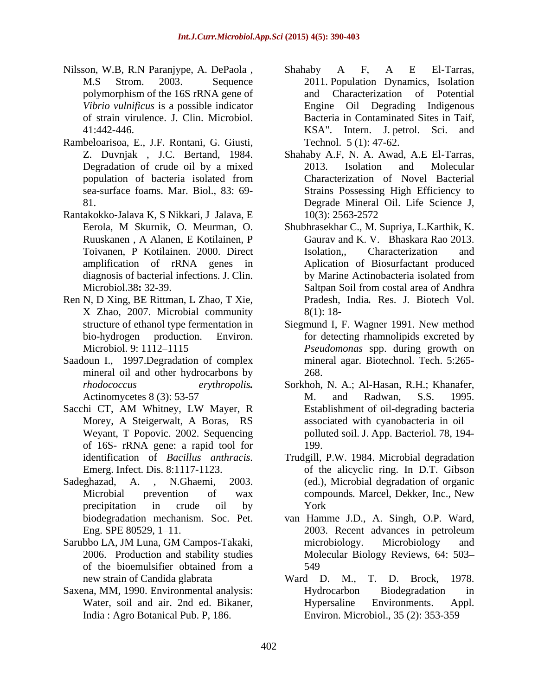- Nilsson, W.B, R.N Paranjype, A. DePaola, Shahaby A F, A E El-Tarras,
- Rambeloarisoa, E., J.F. Rontani, G. Giusti,
- Rantakokko-Jalava K, S Nikkari, J Jalava, E
- Ren N, D Xing, BE Rittman, L Zhao, T Xie, X Zhao, 2007. Microbial community
- Saadoun I., 1997.Degradation of complex mineral oil and other hydrocarbons by 268.
- Weyant, T Popovic. 2002. Sequencing of 16S- rRNA gene: a rapid tool for
- precipitation in crude oil by
- Sarubbo LA, JM Luna, GM Campos-Takaki, of the bioemulsifier obtained from a
- Saxena, MM, 1990. Environmental analysis:
- M.S Strom. 2003. Sequence 2011. Population Dynamics, Isolation polymorphism of the 16S rRNA gene of *Vibrio vulnificus* is a possible indicator Engine Oil Degrading Indigenous of strain virulence. J. Clin. Microbiol. Bacteria in Contaminated Sites in Taif, 41:442-446. KSA". Intern. J. petrol. Sci. and Shahaby A F, A E El-Tarras, and Characterization of Potential Technol. 5 (1): 47-62.
- Z. Duvnjak , J.C. Bertand, 1984. Shahaby A.F, N. A. Awad, A.E El-Tarras, Degradation of crude oil by a mixed 2013. Isolation and Molecular population of bacteria isolated from sea-surface foams. Mar. Biol., 83: 69- Strains Possessing High Efficiency to 81. Degrade Mineral Oil. Life Science J, 2013. Isolation and Molecular Characterization of Novel Bacterial 10(3): 2563-2572
- Eerola, M Skurnik, O. Meurman, O. Shubhrasekhar C., M. Supriya, L.Karthik, K. Ruuskanen , A Alanen, E Kotilainen, P Toivanen, P Kotilainen. 2000. Direct amplification of rRNA genes in Aplication of Biosurfactant produced diagnosis of bacterial infections. J. Clin. by Marine Actinobacteria isolated from Microbiol.38**:** 32-39. Gaurav and K. V. Bhaskara Rao 2013. Isolation,, Characterization and by Marine Actinobacteria isolated from Saltpan Soil from costal area of Andhra Pradesh, India*.* Res. J. Biotech Vol.
- structure of ethanol type fermentation in Siegmund I, F. Wagner 1991. New method bio-hydrogen production. Environ. **Fixed is the example of the excreted** by bio-hydrogen Microbiol. 9: 1112 1115 *Pseudomonas* spp. during growth on 8(1): 18- Siegmund I, F. Wagner 1991. New method mineral agar. Biotechnol. Tech. 5:265- 268.
- *rhodococcus erythropolis.* Sorkhoh, N. A.; Al-Hasan, R.H.; Khanafer, Actinomycetes 8 (3): 53-57 M. and Radwan, S.S. 1995. Sacchi CT, AM Whitney, LW Mayer, R Morey, A Steigerwalt, A Boras, RS associated with cyanobacteria in oil – M. and Radwan, S.S. 1995. Establishment of oil-degrading bacteria polluted soil. J. App. Bacteriol. 78, 194- 199.
- identification of *Bacillus anthracis.* Trudgill, P.W. 1984. Microbial degradation Emerg. Infect. Dis. 8:1117-1123. of the alicyclic ring. In D.T. Gibson Sadeghazad, A. , N.Ghaemi, 2003. (ed.), Microbial degradation of organic Microbial prevention of wax compounds. Marcel, Dekker, Inc., New compounds*.* Marcel, Dekker, Inc., New York
	- biodegradation mechanism. Soc. Pet. van Hamme J.D., A. Singh, O.P. Ward, Eng. SPE 80529, 1–11. 2003. Recent advances in petroleum 2006. Production and stability studies Molecular Biology Reviews, 64: 503 2003. Recent advances in petroleum microbiology. Microbiology and 549
	- new strain of Candida glabrata Ward D. M., T. D. Brock, 1978. Water, soil and air. 2nd ed. Bikaner, Hypersaline Environments. Appl. India : Agro Botanical Pub. P, 186. Environ. Microbiol., 35 (2): 353-359Ward D. M., T. D. Brock, 1978. Hydrocarbon Biodegradation in Hypersaline Environments. Appl.